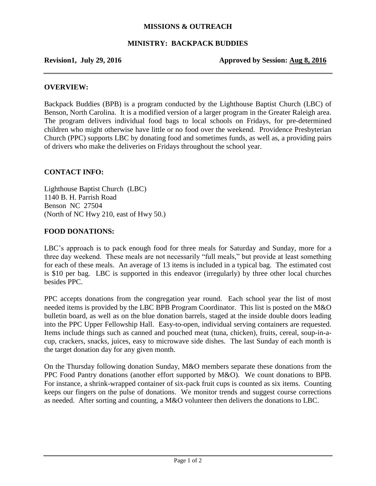# **MISSIONS & OUTREACH**

# **MINISTRY: BACKPACK BUDDIES**

**Revision1, July 29, 2016 Approved by Session: Aug 8, 2016** 

### **OVERVIEW:**

Backpack Buddies (BPB) is a program conducted by the Lighthouse Baptist Church (LBC) of Benson, North Carolina. It is a modified version of a larger program in the Greater Raleigh area. The program delivers individual food bags to local schools on Fridays, for pre-determined children who might otherwise have little or no food over the weekend. Providence Presbyterian Church (PPC) supports LBC by donating food and sometimes funds, as well as, a providing pairs of drivers who make the deliveries on Fridays throughout the school year.

# **CONTACT INFO:**

Lighthouse Baptist Church (LBC) 1140 B. H. Parrish Road Benson NC 27504 (North of NC Hwy 210, east of Hwy 50.)

# **FOOD DONATIONS:**

LBC's approach is to pack enough food for three meals for Saturday and Sunday, more for a three day weekend. These meals are not necessarily "full meals," but provide at least something for each of these meals. An average of 13 items is included in a typical bag. The estimated cost is \$10 per bag. LBC is supported in this endeavor (irregularly) by three other local churches besides PPC.

PPC accepts donations from the congregation year round. Each school year the list of most needed items is provided by the LBC BPB Program Coordinator. This list is posted on the M&O bulletin board, as well as on the blue donation barrels, staged at the inside double doors leading into the PPC Upper Fellowship Hall. Easy-to-open, individual serving containers are requested. Items include things such as canned and pouched meat (tuna, chicken), fruits, cereal, soup-in-acup, crackers, snacks, juices, easy to microwave side dishes. The last Sunday of each month is the target donation day for any given month.

On the Thursday following donation Sunday, M&O members separate these donations from the PPC Food Pantry donations (another effort supported by M&O). We count donations to BPB. For instance, a shrink-wrapped container of six-pack fruit cups is counted as six items. Counting keeps our fingers on the pulse of donations. We monitor trends and suggest course corrections as needed. After sorting and counting, a M&O volunteer then delivers the donations to LBC.